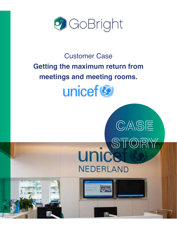

# Customer Case **Getting the maximum return from meetings and meeting rooms.**



CASE

**unicerCRY** 

**NEDERLAND**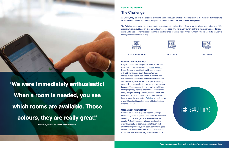

**'We were immediately enthusiastic! When a room is needed, you see which rooms are available. Those colours, they are really great!'**

**Helen Ruigrok van der Werve, Advisor at Unicef**

#### **Solving the Problem**

## **The Challenge**

# **At Unicef, they ran into the problem of finding and booking an available meeting room at the moment that there was**

**an ad hoc discussion. In addition, they also wanted a solution for their flexible workplaces.**

The GoBright smart software solutions created opportunities for Unicef. Helen Ruigrok van der Werve from Unicef says: 'We are pretty flexible, but there are also several permanent places. This works very dynamically and therefore we need 10 less desks. But it also seems that people want to sit together once or twice a week in their own team. So, we needed a solution to manage different ways of working.





Room & App Licences





Visit Licence

**1** View Licence

#### **Meet and Work for Unicef**

Ruigrok van der Werve says: 'We came to GoBright via a tip and they advised GoBright [Meet](https://gobright.com/meet/) and [Work.](https://gobright.com/desk-booking-system-work/) Room Booking in combination with room displays with LED lighting and Desk Booking. We were excited immediately! When a room is needed, you can immediately see which rooms are available. You can see that digitally, but also when you are walking around. Then a green light shows up, and you can use the room. Those colours, they are really great! I hear many people say that this is really nice. It works very easily. You just open up Outlook, choose a room and enter your data in that appointment. Then, you only have to press the start button. [GoBright](https://gobright.com/) also offered us a great Desk Booking solution that added value to our dynamic concept.'

#### **Cooperation with GoBright**

Ruigrok van der Werve appreciates that GoBright thinks along and she appreciates the service orientation of GoBright. 'I like things that are made easier for people. GoBright is service-oriented and handles everything neatly. In addition, people thought well about the suspension system, because we have glass everywhere. It nicely combines with the names of the rooms, and exactly at that height next to the window.'